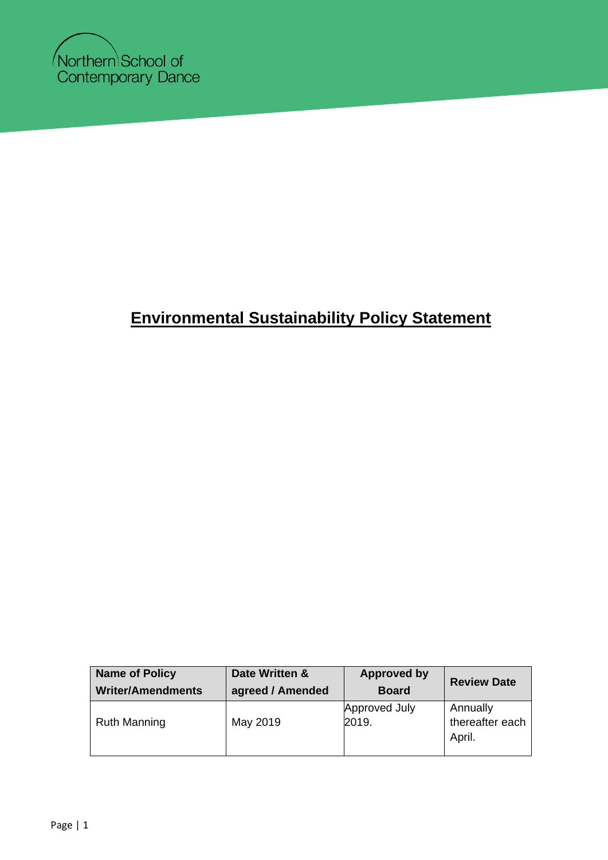

## **Environmental Sustainability Policy Statement**

| <b>Name of Policy</b>    | Date Written &   | <b>Approved by</b>     | <b>Review Date</b>                    |
|--------------------------|------------------|------------------------|---------------------------------------|
| <b>Writer/Amendments</b> | agreed / Amended | <b>Board</b>           |                                       |
| <b>Ruth Manning</b>      | May 2019         | Approved July<br>2019. | Annually<br>thereafter each<br>April. |